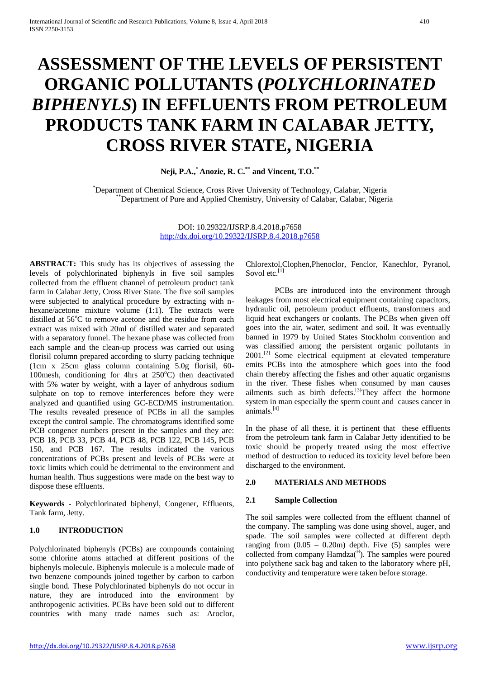# **ASSESSMENT OF THE LEVELS OF PERSISTENT ORGANIC POLLUTANTS (***POLYCHLORINATED BIPHENYLS***) IN EFFLUENTS FROM PETROLEUM PRODUCTS TANK FARM IN CALABAR JETTY, CROSS RIVER STATE, NIGERIA**

**Neji, P.A.,\* Anozie, R. C.\*\* and Vincent, T.O.\*\***

\*Department of Chemical Science, Cross River University of Technology, Calabar, Nigeria \*Department of Pure and Applied Chemistry, University of Calabar, Calabar, Nigeria

> DOI: 10.29322/IJSRP.8.4.2018.p7658 <http://dx.doi.org/10.29322/IJSRP.8.4.2018.p7658>

**ABSTRACT:** This study has its objectives of assessing the levels of polychlorinated biphenyls in five soil samples collected from the effluent channel of petroleum product tank farm in Calabar Jetty, Cross River State. The five soil samples were subjected to analytical procedure by extracting with nhexane/acetone mixture volume (1:1). The extracts were distilled at 56°C to remove acetone and the residue from each extract was mixed with 20ml of distilled water and separated with a separatory funnel. The hexane phase was collected from each sample and the clean-up process was carried out using florisil column prepared according to slurry packing technique (1cm x 25cm glass column containing 5.0g florisil, 60- 100mesh, conditioning for 4hrs at 250°C) then deactivated with 5% water by weight, with a layer of anhydrous sodium sulphate on top to remove interferences before they were analyzed and quantified using GC-ECD/MS instrumentation. The results revealed presence of PCBs in all the samples except the control sample. The chromatograms identified some PCB congener numbers present in the samples and they are: PCB 18, PCB 33, PCB 44, PCB 48, PCB 122, PCB 145, PCB 150, and PCB 167. The results indicated the various concentrations of PCBs present and levels of PCBs were at toxic limits which could be detrimental to the environment and human health. Thus suggestions were made on the best way to dispose these effluents.

**Keywords -** Polychlorinated biphenyl, Congener, Effluents, Tank farm, Jetty.

#### **1.0 INTRODUCTION**

Polychlorinated biphenyls (PCBs) are compounds containing some chlorine atoms attached at different positions of the biphenyls molecule. Biphenyls molecule is a molecule made of two benzene compounds joined together by carbon to carbon single bond. These Polychlorinated biphenyls do not occur in nature, they are introduced into the environment by anthropogenic activities. PCBs have been sold out to different countries with many trade names such as: Aroclor,

Chlorextol,Clophen,Phenoclor, Fenclor, Kanechlor, Pyranol, Sovol etc.<sup>[1]</sup>

PCBs are introduced into the environment through leakages from most electrical equipment containing capacitors, hydraulic oil, petroleum product effluents, transformers and liquid heat exchangers or coolants. The PCBs when given off goes into the air, water, sediment and soil. It was eventually banned in 1979 by United States Stockholm convention and was classified among the persistent organic pollutants in 2001.<sup>[2]</sup> Some electrical equipment at elevated temperature emits PCBs into the atmosphere which goes into the food chain thereby affecting the fishes and other aquatic organisms in the river. These fishes when consumed by man causes ailments such as birth defects.<sup>[3]</sup>They affect the hormone system in man especially the sperm count and causes cancer in animals.[4]

In the phase of all these, it is pertinent that these effluents from the petroleum tank farm in Calabar Jetty identified to be toxic should be properly treated using the most effective method of destruction to reduced its toxicity level before been discharged to the environment.

# **2.0 MATERIALS AND METHODS**

# **2.1 Sample Collection**

The soil samples were collected from the effluent channel of the company. The sampling was done using shovel, auger, and spade. The soil samples were collected at different depth ranging from  $(0.05 - 0.20m)$  depth. Five  $(5)$  samples were collected from company  $Hamdza<sup>( $\hat{H}$</sup> )$ . The samples were poured into polythene sack bag and taken to the laboratory where pH, conductivity and temperature were taken before storage.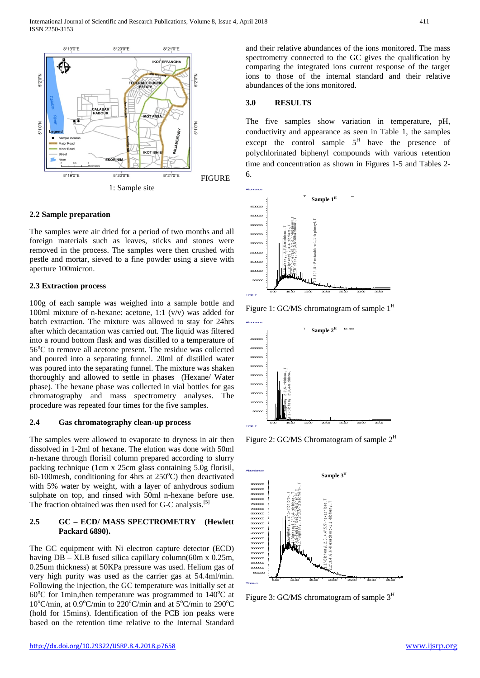

# **2.2 Sample preparation**

The samples were air dried for a period of two months and all foreign materials such as leaves, sticks and stones were removed in the process. The samples were then crushed with pestle and mortar, sieved to a fine powder using a sieve with aperture 100micron.

#### **2.3 Extraction process**

100g of each sample was weighed into a sample bottle and 100ml mixture of n-hexane: acetone, 1:1 (v/v) was added for batch extraction. The mixture was allowed to stay for 24hrs after which decantation was carried out. The liquid was filtered into a round bottom flask and was distilled to a temperature of 56°C to remove all acetone present. The residue was collected and poured into a separating funnel. 20ml of distilled water was poured into the separating funnel. The mixture was shaken thoroughly and allowed to settle in phases (Hexane/ Water phase). The hexane phase was collected in vial bottles for gas chromatography and mass spectrometry analyses. The procedure was repeated four times for the five samples.

#### **2.4 Gas chromatography clean-up process**

The samples were allowed to evaporate to dryness in air then dissolved in 1-2ml of hexane. The elution was done with 50ml n-hexane through florisil column prepared according to slurry packing technique (1cm x 25cm glass containing 5.0g florisil,  $60-100$ mesh, conditioning for 4hrs at  $250^{\circ}$ C) then deactivated with 5% water by weight, with a layer of anhydrous sodium sulphate on top, and rinsed with 50ml n-hexane before use. The fraction obtained was then used for G-C analysis.<sup>[5]</sup>

#### **2.5 GC – ECD/ MASS SPECTROMETRY (Hewlett Packard 6890).**

The GC equipment with Ni electron capture detector (ECD) having DB – XLB fused silica capillary column(60m x 0.25m, 0.25um thickness) at 50KPa pressure was used. Helium gas of very high purity was used as the carrier gas at 54.4ml/min. Following the injection, the GC temperature was initially set at 60°C for 1min, then temperature was programmed to 140°C at 10°C/min, at 0.9°C/min to 220°C/min and at 5°C/min to 290°C (hold for 15mins). Identification of the PCB ion peaks were based on the retention time relative to the Internal Standard

and their relative abundances of the ions monitored. The mass spectrometry connected to the GC gives the qualification by comparing the integrated ions current response of the target ions to those of the internal standard and their relative abundances of the ions monitored.

# **3.0 RESULTS**

The five samples show variation in temperature, pH, conductivity and appearance as seen in Table 1, the samples except the control sample  $5<sup>H</sup>$  have the presence of polychlorinated biphenyl compounds with various retention time and concentration as shown in Figures 1-5 and Tables 2- 6.



Figure 1: GC/MS chromatogram of sample  $1<sup>H</sup>$ 



Figure 2: GC/MS Chromatogram of sample  $2<sup>H</sup>$ 



Figure 3: GC/MS chromatogram of sample  $3<sup>H</sup>$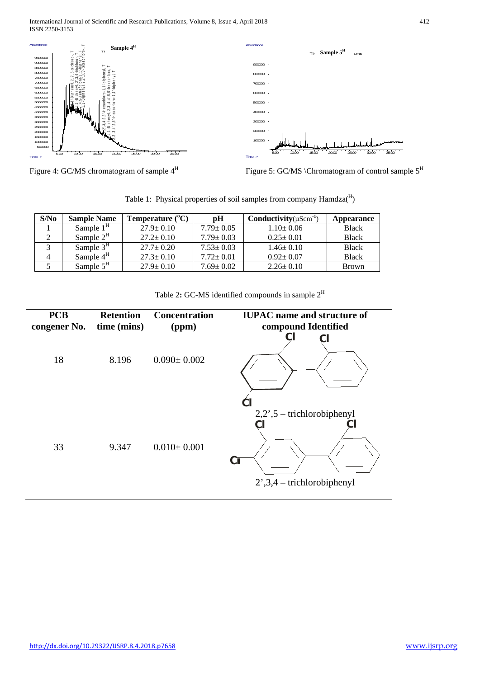International Journal of Scientific and Research Publications, Volume 8, Issue 4, April 2018 412 ISSN 2250-3153



Figure 4: GC/MS chromatogram of sample  $4^H$  Figure 5: GC/MS \Chromatogram of control sample  $5^H$ 

Table 1: Physical properties of soil samples from company Hamdza(H)

| S/N <sub>0</sub> | <b>Sample Name</b> | Temperature $(^{\circ}C)$ | pН              | Conductivity $(\mu Scm^{-1})$ | Appearance   |
|------------------|--------------------|---------------------------|-----------------|-------------------------------|--------------|
|                  | Sample $1H$        | $27.9 \pm 0.10$           | $7.79 \pm 0.05$ | $1.10+0.06$                   | <b>Black</b> |
|                  | Sample $2H$        | $27.2 \pm 0.10$           | $7.79 \pm 0.03$ | $0.25 \pm 0.01$               | <b>Black</b> |
|                  | Sample $3H$        | $27.7 \pm 0.20$           | $7.53 \pm 0.03$ | $1.46 \pm 0.10$               | <b>Black</b> |
|                  | Sample $4H$        | $27.3 \pm 0.10$           | $7.72 \pm 0.01$ | $0.92 \pm 0.07$               | <b>Black</b> |
|                  | Sample $5H$        | $27.9 \pm 0.10$           | $7.69 \pm 0.02$ | $2.26 \pm 0.10$               | <b>Brown</b> |

| Table 2: GC-MS identified compounds in sample $2^H$ |  |  |  |  |  |  |  |
|-----------------------------------------------------|--|--|--|--|--|--|--|
|-----------------------------------------------------|--|--|--|--|--|--|--|

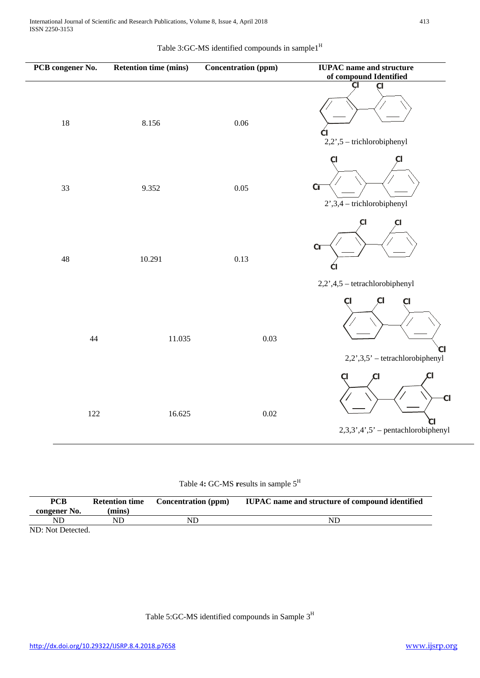| Table 3:GC-MS identified compounds in sample1 <sup>H</sup> |
|------------------------------------------------------------|
|------------------------------------------------------------|

| PCB congener No. |        | <b>Retention time (mins)</b> | <b>Concentration (ppm)</b> | <b>IUPAC</b> name and structure<br>of compound Identified             |
|------------------|--------|------------------------------|----------------------------|-----------------------------------------------------------------------|
| 18               |        | 8.156                        | 0.06                       | ÇI<br>СI<br>Œ<br>2,2',5 - trichlorobiphenyl                           |
| 33               |        | 9.352                        | 0.05                       | СI<br>CI<br>C <sub>I</sub><br>$2^{\prime}$ , 3, 4 - trichlorobiphenyl |
| $\sqrt{48}$      |        | 10.291                       | 0.13                       | СI<br>СI<br>C <sub>I</sub><br>СI                                      |
|                  |        |                              |                            | 2,2',4,5 - tetrachlorobiphenyl                                        |
|                  | $44\,$ | 11.035                       | 0.03                       | CI<br>СI<br>$2,2^{\prime},3,5^{\prime}$ – tetrachlorobiphenyl         |
|                  | 122    | 16.625                       | 0.02                       | СI<br><b>CI</b><br>$2,3,3',4',5'$ – pentachlorobiphenyl               |

| Table 4: GC-MS results in sample $5^H$ |  |  |  |  |
|----------------------------------------|--|--|--|--|
|----------------------------------------|--|--|--|--|

| <b>PCB</b>        | <b>Retention time</b> | <b>Concentration</b> (ppm) | <b>IUPAC</b> name and structure of compound identified |
|-------------------|-----------------------|----------------------------|--------------------------------------------------------|
| congener No.      | (mins)                |                            |                                                        |
| ND                | ND                    | ND                         | ND                                                     |
| ND: Not Detected. |                       |                            |                                                        |

Table 5:GC-MS identified compounds in Sample  $3^{\rm H}$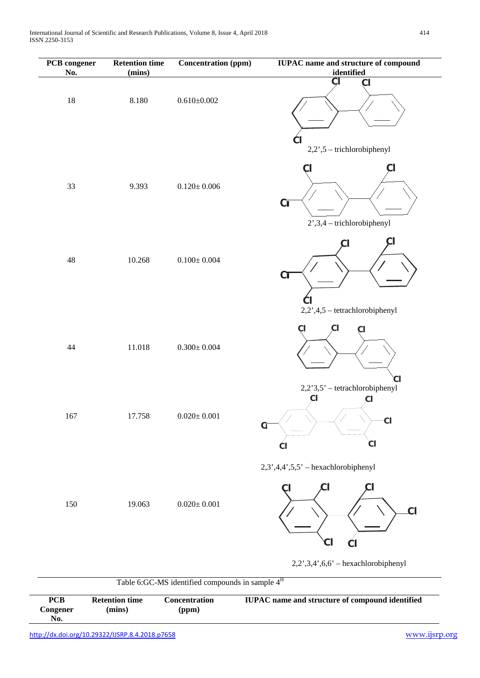| PCB congener<br>No. | <b>Retention time</b><br>(mins) | <b>Concentration (ppm)</b> | <b>IUPAC</b> name and structure of compound<br>identified                               |
|---------------------|---------------------------------|----------------------------|-----------------------------------------------------------------------------------------|
| $18\,$              | $8.180\,$                       | $0.610\pm0.002$            | $\overline{CI}$<br>C <sub>l</sub><br>$\mathsf{C}$<br>2,2',5 - trichlorobiphenyl         |
| 33                  | 9.393                           | $0.120 \pm 0.006$          | CI<br>Cl<br>C <sub>I</sub><br>$2^{\prime}$ , 3, 4 - trichlorobiphenyl                   |
| 48                  | 10.268                          | $0.100 \pm 0.004$          | C <sub>T</sub>                                                                          |
| 44                  | 11.018                          | $0.300 \pm 0.004$          | 2,2',4,5 - tetrachlorobiphenyl<br>CI<br>CI<br>СI                                        |
| 167                 | 17.758                          | $0.020\pm0.001$            | 2,2'3,5' - tetrachlorobiphenyl<br>ÇI<br>$\overline{c}$<br>$-c1$<br>$\alpha$<br>CI<br>СI |
| 150                 | 19.063                          | $0.020 \pm 0.001$          | $2,3',4,4',5,5'$ - hexachlorobiphenyl<br>CI<br>$\overline{c}$<br>$\mathcal{C}$ l<br>ĆI  |
|                     |                                 |                            | $2,2^{\prime},3,4^{\prime},6,6^{\prime}$ - hexachlorobiphenyl                           |

| <b>PCB</b><br>Congener<br>No. | <b>Retention time</b><br>(mins)                 | Concentration<br>(ppm) | <b>IUPAC</b> name and structure of compound identified |
|-------------------------------|-------------------------------------------------|------------------------|--------------------------------------------------------|
|                               | http://dx.doi.org/10.29322/IJSRP.8.4.2018.p7658 |                        | www.ijsrp.org                                          |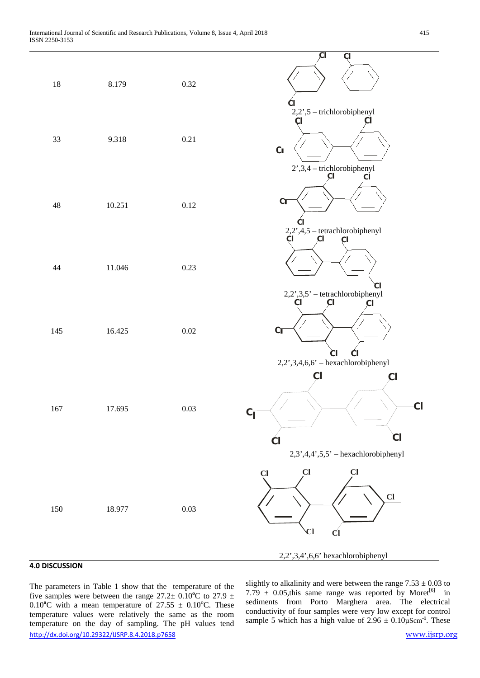

#### **4.0 DISCUSSION**

<http://dx.doi.org/10.29322/IJSRP.8.4.2018.p7658> [www.ijsrp.org](http://ijsrp.org/) The parameters in Table 1 show that the temperature of the five samples were between the range  $27.2 \pm 0.10^{\circ}$ C to  $27.9 \pm 0.10^{\circ}$ 0.10<sup>o</sup>C with a mean temperature of  $27.55 \pm 0.10$ <sup>o</sup>C. These temperature values were relatively the same as the room temperature on the day of sampling. The pH values tend

slightly to alkalinity and were between the range  $7.53 \pm 0.03$  to 7.79  $\pm$  0.05, this same range was reported by Moret<sup>[6]</sup> in sediments from Porto Marghera area. The electrical conductivity of four samples were very low except for control sample 5 which has a high value of  $2.96 \pm 0.10 \mu \text{Scm}^{-1}$ . These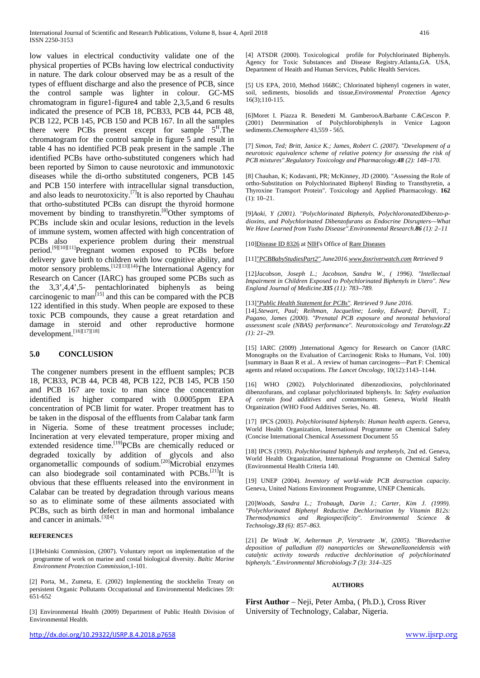low values in electrical conductivity validate one of the physical properties of PCBs having low electrical conductivity in nature. The dark colour observed may be as a result of the types of effluent discharge and also the presence of PCB, since the control sample was lighter in colour. GC-MS chromatogram in figure1-figure4 and table 2,3,5,and 6 results indicated the presence of PCB 18, PCB33, PCB 44, PCB 48, PCB 122, PCB 145, PCB 150 and PCB 167. In all the samples there were PCBs present except for sample  $5^{\text{H}}$ . The chromatogram for the control sample in figure 5 and result in table 4 has no identified PCB peak present in the sample .The identified PCBs have ortho-substituted congeners which had been reported by Simon to cause neurotoxic and immunotoxic diseases while the di-ortho substituted congeners, PCB 145 and PCB 150 interfere with intracellular signal transduction, and also leads to neurotoxicity.<sup>[7]</sup>It is also reported by Chauhau that ortho-substituted PCBs can disrupt the thyroid hormone movement by binding to transthyretin.<sup>[8]</sup>Other symptoms of PCBs include skin and ocular lesions, reduction in the levels of immune system, women affected with high concentration of PCBs also experience problem during their menstrual experience problem during their menstrual period.<sup>[9][10][11]</sup>Pregnant women exposed to PCBs before delivery gave birth to children with low cognitive ability, and motor sensory problems*.* [12][13][14] The International Agency for Research on Cancer (IARC) has grouped some PCBs such as the 3,3',4,4',5- pentachlorinated biphenyls as being carcinogenic to man<sup>[15]</sup> and this can be compared with the PCB 122 identified in this study. When people are exposed to these toxic PCB compounds, they cause a great retardation and damage in steroid and other reproductive hormone  $\frac{1}{\text{development}} \cdot \frac{\text{second}}{\text{16}[\frac{17}{17}][18]}$ 

#### **5.0 CONCLUSION**

The congener numbers present in the effluent samples; PCB 18, PCB33, PCB 44, PCB 48, PCB 122, PCB 145, PCB 150 and PCB 167 are toxic to man since the concentration identified is higher compared with 0.0005ppm EPA concentration of PCB limit for water. Proper treatment has to be taken in the disposal of the effluents from Calabar tank farm in Nigeria. Some of these treatment processes include; Incineration at very elevated temperature, proper mixing and extended residence time.<sup>[19]</sup>PCBs are chemically reduced or degraded toxically by addition of glycols and also organometallic compounds of sodium.<sup>[20]</sup>Microbial enzymes can also biodegrade soil contaminated with PCBs.<sup>[21]</sup>It is obvious that these effluents released into the environment in Calabar can be treated by degradation through various means so as to eliminate some of these ailments associated with PCBs, such as birth defect in man and hormonal imbalance and cancer in animals.<sup>[3][4]</sup>

#### **REFERENCES**

[1]Helsinki Commission, (2007). Voluntary report on implementation of the programme of work on marine and costal biological diversity. *Baltic Marine Environment Protection Commission,*1-101.

[2] Porta, M., Zumeta, E. (2002) Implementing the stockhelin Treaty on persistent Organic Pollutants Occupational and Environmental Medicines 59: 651-652

[3] Environmental Health (2009) Department of Public Health Division of Environmental Health.

[5] US EPA, 2010, Method 1668C; Chlorinated biphenyl cogeners in water, soil, sediments, biosolids and tissue,*Environmental Protection Agency* 16(3);110-115.

Agency for Toxic Substances and Disease Registry.Atlanta,GA. USA,

Department of Heaith and Human Services, Public Health Services.

[6]Moret I. Piazza R. Benedetti M. GamberooA.Barbante C.&Cescon P. (2001) Determination of Polychlorobiphenyls in Venice Lagoon sediments.*Chemosphere* 43,559 - 565.

[7] *Simon, Ted; Britt, Janice K.; James, Robert C. (2007). "Development of a neurotoxic equivalence scheme of relative potency for assessing the risk of PCB mixtures".Regulatory Toxicology and Pharmacology.48 (2): 148–170.*

[8] Chauhan, K; Kodavanti, PR; McKinney, JD (2000). "Assessing the Role of ortho-Substitution on Polychlorinated Biphenyl Binding to Transthyretin, a Thyroxine Transport Protein". Toxicology and Applied Pharmacology. **162** (1): 10–21.

[9]*Aoki, Y (2001). "Polychlorinated Biphenyls, PolychloronatedDibenzo-pdioxins, and Polychlorinated Dibenzofurans as Endocrine Disrupters—What We Have Learned from Yusho Disease".Environmental Research.86 (1): 2–11*

[10[\]Disease ID 8326](https://rarediseases.info.nih.gov/diseases/8326/disease) a[t NIH's](https://en.wikipedia.org/wiki/National_Institutes_of_Health) Office o[f Rare Diseases](https://en.wikipedia.org/wiki/Rare_disease)

[11]*["PCBBabyStudiesPart2".J](http://www.foxriverwatch.comwww.foxriverwatch.com/baby_studies_pcbs_2.html)une2016[.www.foxriverwatch.com](http://www.foxriverwatch.com/) Retrieved 9* 

[12]*Jacobson, Joseph L.; Jacobson, Sandra W., ( 1996). "Intellectual Impairment in Children Exposed to Polychlorinated Biphenyls in Utero". New England Journal of Medicine.335 (11): 783–789.* 

[13]*["Public Health Statement for PCBs".](http://www.atsdr.cdc.gov/PHS/PHS.asp?id=139&tid=26) Retrieved 9 June 2016.*

[14].*Stewart, Paul; Reihman, Jacqueline; Lonky, Edward; Darvill, T.; Pagano, James (2000). "Prenatal PCB exposure and neonatal behavioral assessment scale (NBAS) performance". Neurotoxicology and Teratology.22 (1): 21–29.*

[15] IARC (2009) ,International Agency for Research on Cancer (IARC Monographs on the Evaluation of Carcinogenic Risks to Humans, Vol. 100) [summary in Baan R et al.. A review of human carcinogens—Part F: Chemical agents and related occupations. *The Lancet Oncology*, 10(12):1143–1144.

[16] WHO (2002). Polychlorinated dibenzodioxins, polychlorinated dibenzofurans, and coplanar polychlorinated biphenyls. In: *Safety evaluation of certain food additives and contaminants*. Geneva, World Health Organization (WHO Food Additives Series, No. 48.

[17] IPCS (2003). *Polychlorinated biphenyls: Human health aspects*. Geneva, World Health Organization, International Programme on Chemical Safety (Concise International Chemical Assessment Document 55

[18] IPCS (1993). *Polychlorinated biphenyls and terphenyls*, 2nd ed. Geneva, World Health Organization, International Programme on Chemical Safety (Environmental Health Criteria 140.

[19] UNEP (2004). *Inventory of world-wide PCB destruction capacity*. Geneva, United Nations Environment Programme, UNEP Chemicals.

[20]*Woods, Sandra L.; Trobaugh, Darin J.; Carter, Kim J. (1999). "Polychlorinated Biphenyl Reductive Dechlorination by Vitamin B12s: Thermodynamics and Regiospecificity". Environmental Science & Technology.33 (6): 857–863.* 

[21] *De Windt .W, Aelterman .P, Verstraete .W, (2005). "Bioreductive deposition of palladium (0) nanoparticles on Shewanellaoneidensis with catalytic activity towards reductive dechlorination of polychlorinated biphenyls.".Environmental Microbiology.7 (3): 314–325*

#### **AUTHORS**

**First Author** – Neji, Peter Amba, ( Ph.D.), Cross River University of Technology, Calabar, Nigeria.